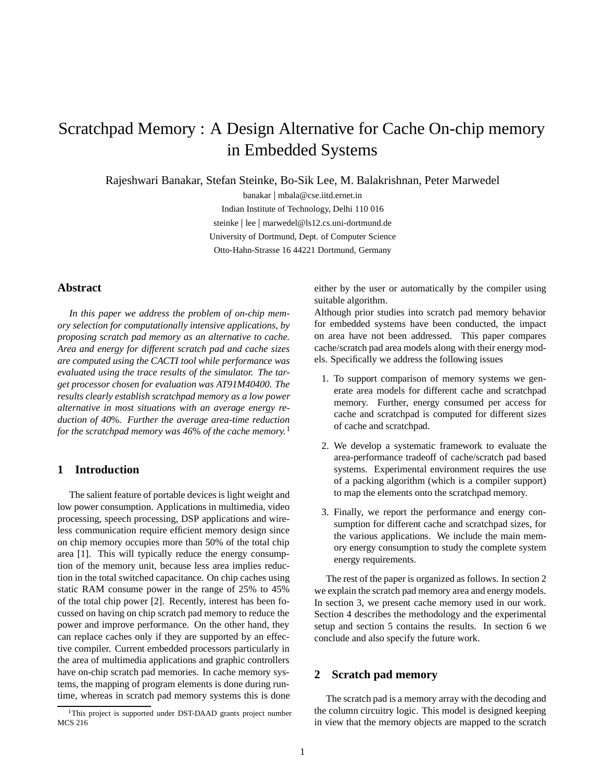# Scratchpad Memory : A Design Alternative for Cache On-chip memory in Embedded Systems

Rajeshwari Banakar, Stefan Steinke, Bo-Sik Lee, M. Balakrishnan, Peter Marwedel

banakar <sup>j</sup> mbala@cse.iitd.ernet.in Indian Institute of Technology, Delhi 110 016 steinke <sup>j</sup> lee <sup>j</sup> marwedel@ls12.cs.uni-dortmund.de University of Dortmund, Dept. of Computer Science Otto-Hahn-Strasse 16 44221 Dortmund, Germany

# **Abstract**

*In this paper we address the problem of on-chip memory selection for computationally intensive applications, by proposing scratch pad memory as an alternative to cache. Area and energy for different scratch pad and cache sizes are computed using the CACTI tool while performance was evaluated using the trace results of the simulator. The target processor chosen for evaluation was AT91M40400. The results clearly establish scratchpad memory as a low power alternative in most situations with an average energy reduction of 40*%*. Further the average area-time reduction for the scratchpad memory was 46*% *of the cache memory.*<sup>1</sup>

# **1 Introduction**

The salient feature of portable devices is light weight and low power consumption. Applications in multimedia, video processing, speech processing, DSP applications and wireless communication require efficient memory design since on chip memory occupies more than 50% of the total chip area [1]. This will typically reduce the energy consumption of the memory unit, because less area implies reduction in the total switched capacitance. On chip caches using static RAM consume power in the range of 25% to 45% of the total chip power [2]. Recently, interest has been focussed on having on chip scratch pad memory to reduce the power and improve performance. On the other hand, they can replace caches only if they are supported by an effective compiler. Current embedded processors particularly in the area of multimedia applications and graphic controllers have on-chip scratch pad memories. In cache memory systems, the mapping of program elements is done during runtime, whereas in scratch pad memory systems this is done either by the user or automatically by the compiler using suitable algorithm.

Although prior studies into scratch pad memory behavior for embedded systems have been conducted, the impact on area have not been addressed. This paper compares cache/scratch pad area models along with their energy models. Specifically we address the following issues

- 1. To support comparison of memory systems we generate area models for different cache and scratchpad memory. Further, energy consumed per access for cache and scratchpad is computed for different sizes of cache and scratchpad.
- 2. We develop a systematic framework to evaluate the area-performance tradeoff of cache/scratch pad based systems. Experimental environment requires the use of a packing algorithm (which is a compiler support) to map the elements onto the scratchpad memory.
- 3. Finally, we report the performance and energy consumption for different cache and scratchpad sizes, for the various applications. We include the main memory energy consumption to study the complete system energy requirements.

The rest of the paper is organized as follows. In section 2 we explain the scratch pad memory area and energy models. In section 3, we present cache memory used in our work. Section 4 describes the methodology and the experimental setup and section 5 contains the results. In section 6 we conclude and also specify the future work.

# **2 Scratch pad memory**

The scratch pad is a memory array with the decoding and the column circuitry logic. This model is designed keeping in view that the memory objects are mapped to the scratch

 $1$ This project is supported under DST-DAAD grants project number MCS 216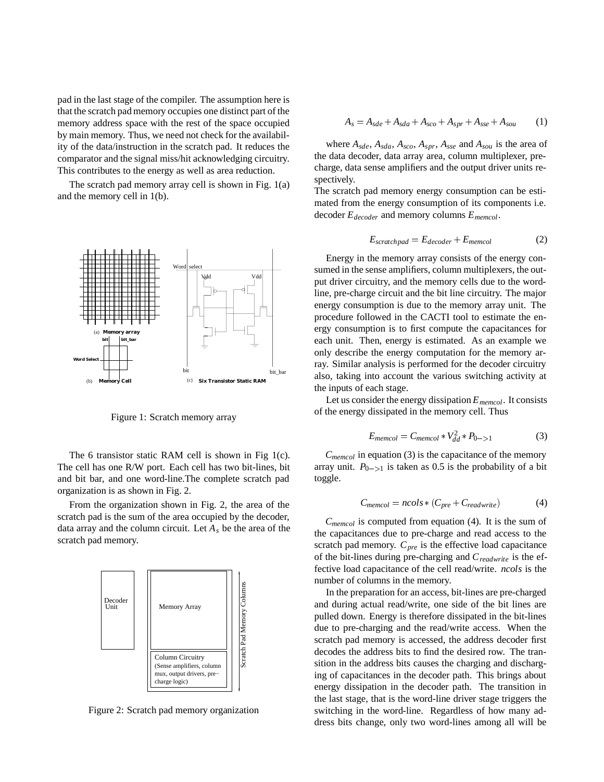pad in the last stage of the compiler. The assumption here is that the scratch pad memory occupies one distinct part of the memory address space with the rest of the space occupied by main memory. Thus, we need not check for the availability of the data/instruction in the scratch pad. It reduces the comparator and the signal miss/hit acknowledging circuitry. This contributes to the energy as well as area reduction.

The scratch pad memory array cell is shown in Fig. 1(a) and the memory cell in 1(b).



Figure 1: Scratch memory array

The 6 transistor static RAM cell is shown in Fig 1(c). The cell has one R/W port. Each cell has two bit-lines, bit and bit bar, and one word-line.The complete scratch pad organization is as shown in Fig. 2.

From the organization shown in Fig. 2, the area of the scratch pad is the sum of the area occupied by the decoder, data array and the column circuit. Let *As* be the area of the scratch pad memory.



Figure 2: Scratch pad memory organization

$$
A_s = A_{sde} + A_{sda} + A_{sco} + A_{spr} + A_{sse} + A_{sou} \tag{1}
$$

where *Asde*, *Asda*, *Asco*, *Aspr*, *Asse* and *Asou* is the area of the data decoder, data array area, column multiplexer, precharge, data sense amplifiers and the output driver units respectively.

The scratch pad memory energy consumption can be estimated from the energy consumption of its components i.e. decoder *Edecoder* and memory columns *Ememcol*.

$$
E_{scratchpad} = E_{decoder} + E_{memcol}
$$
 (2)

Energy in the memory array consists of the energy consumed in the sense amplifiers, column multiplexers, the output driver circuitry, and the memory cells due to the wordline, pre-charge circuit and the bit line circuitry. The major energy consumption is due to the memory array unit. The procedure followed in the CACTI tool to estimate the energy consumption is to first compute the capacitances for each unit. Then, energy is estimated. As an example we only describe the energy computation for the memory array. Similar analysis is performed for the decoder circuitry also, taking into account the various switching activity at the inputs of each stage.

Let us consider the energy dissipation *Ememcol*. It consists of the energy dissipated in the memory cell. Thus

$$
E_{memcol} = C_{memcol} * V_{dd}^2 * P_{0->1}
$$
 (3)

*Cmemcol* in equation (3) is the capacitance of the memory array unit.  $P_{0->1}$  is taken as 0.5 is the probability of a bit toggle.

$$
C_{memcol} = ncols * (C_{pre} + C_{readwrite})
$$
 (4)

*Cmemcol* is computed from equation (4). It is the sum of the capacitances due to pre-charge and read access to the scratch pad memory.  $C_{pre}$  is the effective load capacitance of the bit-lines during pre-charging and *Creadwrite* is the effective load capacitance of the cell read/write. *ncols* is the number of columns in the memory.

In the preparation for an access, bit-lines are pre-charged and during actual read/write, one side of the bit lines are pulled down. Energy is therefore dissipated in the bit-lines due to pre-charging and the read/write access. When the scratch pad memory is accessed, the address decoder first decodes the address bits to find the desired row. The transition in the address bits causes the charging and discharging of capacitances in the decoder path. This brings about energy dissipation in the decoder path. The transition in the last stage, that is the word-line driver stage triggers the switching in the word-line. Regardless of how many address bits change, only two word-lines among all will be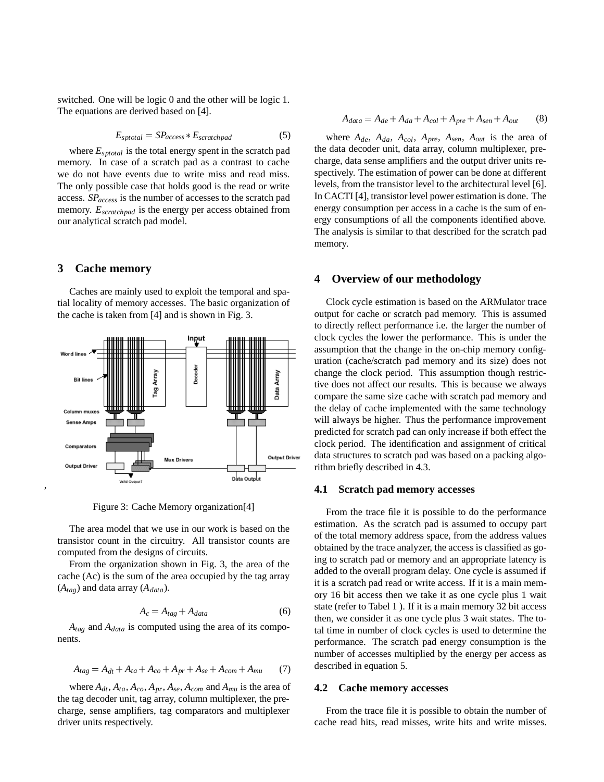switched. One will be logic 0 and the other will be logic 1. The equations are derived based on [4].

$$
E_{sptotal} = SP_{access} * E_{scratchpad}
$$
 (5)

where  $E_{\text{sptotal}}$  is the total energy spent in the scratch pad memory. In case of a scratch pad as a contrast to cache we do not have events due to write miss and read miss. The only possible case that holds good is the read or write access. *SPaccess* is the number of accesses to the scratch pad memory. *Escratchpad* is the energy per access obtained from our analytical scratch pad model.

## **3 Cache memory**

Caches are mainly used to exploit the temporal and spatial locality of memory accesses. The basic organization of the cache is taken from [4] and is shown in Fig. 3.



Figure 3: Cache Memory organization[4]

The area model that we use in our work is based on the transistor count in the circuitry. All transistor counts are computed from the designs of circuits.

From the organization shown in Fig. 3, the area of the cache (Ac) is the sum of the area occupied by the tag array  $(A<sub>tae</sub>)$  and data array  $(A<sub>data</sub>)$ .

$$
A_c = A_{tag} + A_{data} \tag{6}
$$

*Atag* and *Adata* is computed using the area of its components.

$$
A_{tag} = A_{dt} + A_{ta} + A_{co} + A_{pr} + A_{se} + A_{com} + A_{mu} \tag{7}
$$

where  $A_{dt}$ ,  $A_{ta}$ ,  $A_{co}$ ,  $A_{pr}$ ,  $A_{se}$ ,  $A_{com}$  and  $A_{mu}$  is the area of the tag decoder unit, tag array, column multiplexer, the precharge, sense amplifiers, tag comparators and multiplexer driver units respectively.

$$
A_{data} = A_{de} + A_{da} + A_{col} + A_{pre} + A_{sen} + A_{out}
$$
 (8)

where  $A_{de}$ ,  $A_{da}$ ,  $A_{col}$ ,  $A_{pre}$ ,  $A_{sen}$ ,  $A_{out}$  is the area of the data decoder unit, data array, column multiplexer, precharge, data sense amplifiers and the output driver units respectively. The estimation of power can be done at different levels, from the transistor level to the architectural level [6]. In CACTI [4], transistor level power estimation is done. The energy consumption per access in a cache is the sum of energy consumptions of all the components identified above. The analysis is similar to that described for the scratch pad memory.

## **4 Overview of our methodology**

Clock cycle estimation is based on the ARMulator trace output for cache or scratch pad memory. This is assumed to directly reflect performance i.e. the larger the number of clock cycles the lower the performance. This is under the assumption that the change in the on-chip memory configuration (cache/scratch pad memory and its size) does not change the clock period. This assumption though restrictive does not affect our results. This is because we always compare the same size cache with scratch pad memory and the delay of cache implemented with the same technology will always be higher. Thus the performance improvement predicted for scratch pad can only increase if both effect the clock period. The identification and assignment of critical data structures to scratch pad was based on a packing algorithm briefly described in 4.3.

#### **4.1 Scratch pad memory accesses**

From the trace file it is possible to do the performance estimation. As the scratch pad is assumed to occupy part of the total memory address space, from the address values obtained by the trace analyzer, the access is classified as going to scratch pad or memory and an appropriate latency is added to the overall program delay. One cycle is assumed if it is a scratch pad read or write access. If it is a main memory 16 bit access then we take it as one cycle plus 1 wait state (refer to Tabel 1 ). If it is a main memory 32 bit access then, we consider it as one cycle plus 3 wait states. The total time in number of clock cycles is used to determine the performance. The scratch pad energy consumption is the number of accesses multiplied by the energy per access as described in equation 5.

## **4.2 Cache memory accesses**

From the trace file it is possible to obtain the number of cache read hits, read misses, write hits and write misses.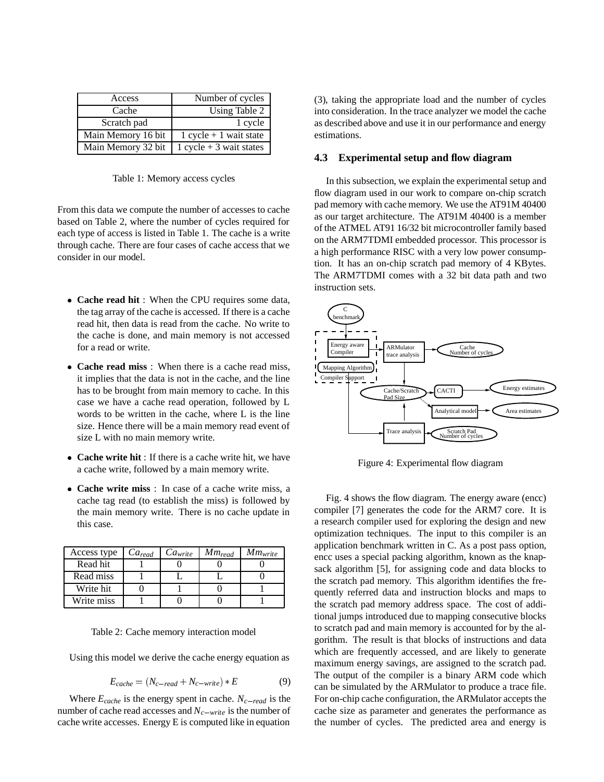| Access             | Number of cycles          |
|--------------------|---------------------------|
| Cache              | Using Table 2             |
| Scratch pad        | 1 cycle                   |
| Main Memory 16 bit | $1 cycle + 1 wait state$  |
| Main Memory 32 bit | $1 cycle + 3 wait states$ |

Table 1: Memory access cycles

From this data we compute the number of accesses to cache based on Table 2, where the number of cycles required for each type of access is listed in Table 1. The cache is a write through cache. There are four cases of cache access that we consider in our model.

- **Cache read hit** : When the CPU requires some data, the tag array of the cache is accessed. If there is a cache read hit, then data is read from the cache. No write to the cache is done, and main memory is not accessed for a read or write.
- **Cache read miss** : When there is a cache read miss, it implies that the data is not in the cache, and the line has to be brought from main memory to cache. In this case we have a cache read operation, followed by L words to be written in the cache, where L is the line size. Hence there will be a main memory read event of size L with no main memory write.
- **Cache write hit** : If there is a cache write hit, we have a cache write, followed by a main memory write.
- **Cache write miss** : In case of a cache write miss, a cache tag read (to establish the miss) is followed by the main memory write. There is no cache update in this case.

| Access type | $Ca_{read}$ | Ca <sub>write</sub> | $Mm_{read}$ | $Mm_{\text{write}}$ |
|-------------|-------------|---------------------|-------------|---------------------|
| Read hit    |             |                     |             |                     |
| Read miss   |             |                     |             |                     |
| Write hit   |             |                     |             |                     |
| Write miss  |             |                     |             |                     |

Table 2: Cache memory interaction model

Using this model we derive the cache energy equation as

$$
E_{cache} = (N_{c-read} + N_{c-write}) * E
$$
 (9)

Where  $E_{cache}$  is the energy spent in cache.  $N_{c-read}$  is the number of cache read accesses and  $N_{c-write}$  is the number of cache write accesses. Energy E is computed like in equation

(3), taking the appropriate load and the number of cycles into consideration. In the trace analyzer we model the cache as described above and use it in our performance and energy estimations.

## **4.3 Experimental setup and flow diagram**

In this subsection, we explain the experimental setup and flow diagram used in our work to compare on-chip scratch pad memory with cache memory. We use the AT91M 40400 as our target architecture. The AT91M 40400 is a member of the ATMEL AT91 16/32 bit microcontroller family based on the ARM7TDMI embedded processor. This processor is a high performance RISC with a very low power consumption. It has an on-chip scratch pad memory of 4 KBytes. The ARM7TDMI comes with a 32 bit data path and two instruction sets.



Figure 4: Experimental flow diagram

Fig. 4 shows the flow diagram. The energy aware (encc) compiler [7] generates the code for the ARM7 core. It is a research compiler used for exploring the design and new optimization techniques. The input to this compiler is an application benchmark written in C. As a post pass option, encc uses a special packing algorithm, known as the knapsack algorithm [5], for assigning code and data blocks to the scratch pad memory. This algorithm identifies the frequently referred data and instruction blocks and maps to the scratch pad memory address space. The cost of additional jumps introduced due to mapping consecutive blocks to scratch pad and main memory is accounted for by the algorithm. The result is that blocks of instructions and data which are frequently accessed, and are likely to generate maximum energy savings, are assigned to the scratch pad. The output of the compiler is a binary ARM code which can be simulated by the ARMulator to produce a trace file. For on-chip cache configuration, the ARMulator accepts the cache size as parameter and generates the performance as the number of cycles. The predicted area and energy is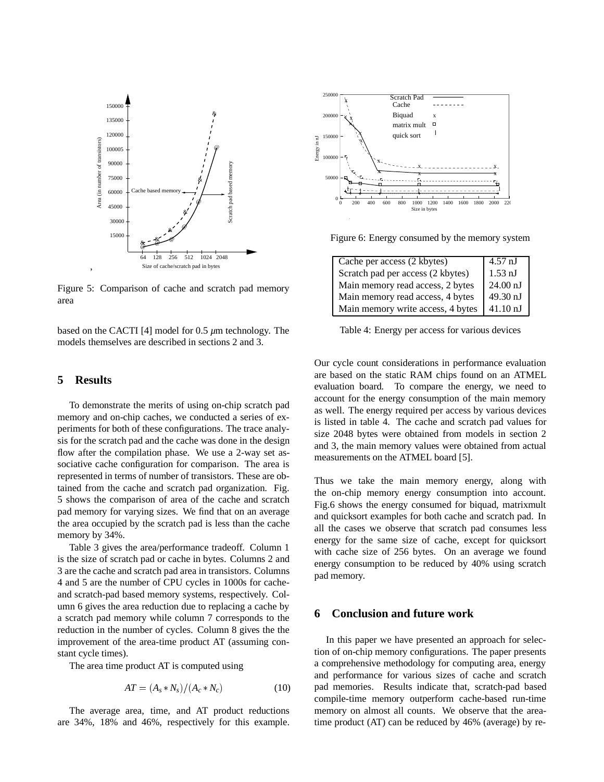

Figure 5: Comparison of cache and scratch pad memory area

based on the CACTI [4] model for 0.5 *µ*m technology. The models themselves are described in sections 2 and 3.

# **5 Results**

To demonstrate the merits of using on-chip scratch pad memory and on-chip caches, we conducted a series of experiments for both of these configurations. The trace analysis for the scratch pad and the cache was done in the design flow after the compilation phase. We use a 2-way set associative cache configuration for comparison. The area is represented in terms of number of transistors. These are obtained from the cache and scratch pad organization. Fig. 5 shows the comparison of area of the cache and scratch pad memory for varying sizes. We find that on an average the area occupied by the scratch pad is less than the cache memory by 34%.

Table 3 gives the area/performance tradeoff. Column 1 is the size of scratch pad or cache in bytes. Columns 2 and 3 are the cache and scratch pad area in transistors. Columns 4 and 5 are the number of CPU cycles in 1000s for cacheand scratch-pad based memory systems, respectively. Column 6 gives the area reduction due to replacing a cache by a scratch pad memory while column 7 corresponds to the reduction in the number of cycles. Column 8 gives the the improvement of the area-time product AT (assuming constant cycle times).

The area time product AT is computed using

$$
AT = (A_s * N_s) / (A_c * N_c) \tag{10}
$$

The average area, time, and AT product reductions are 34%, 18% and 46%, respectively for this example.



Figure 6: Energy consumed by the memory system

| Cache per access (2 kbytes)       | $4.57$ nJ          |
|-----------------------------------|--------------------|
| Scratch pad per access (2 kbytes) | $1.53 \text{ nJ}$  |
| Main memory read access, 2 bytes  | $24.00$ nJ         |
| Main memory read access, 4 bytes  | 49.30 nJ           |
| Main memory write access, 4 bytes | $41.10 \text{ nJ}$ |

Table 4: Energy per access for various devices

Our cycle count considerations in performance evaluation are based on the static RAM chips found on an ATMEL evaluation board. To compare the energy, we need to account for the energy consumption of the main memory as well. The energy required per access by various devices is listed in table 4. The cache and scratch pad values for size 2048 bytes were obtained from models in section 2 and 3, the main memory values were obtained from actual measurements on the ATMEL board [5].

Thus we take the main memory energy, along with the on-chip memory energy consumption into account. Fig.6 shows the energy consumed for biquad, matrixmult and quicksort examples for both cache and scratch pad. In all the cases we observe that scratch pad consumes less energy for the same size of cache, except for quicksort with cache size of 256 bytes. On an average we found energy consumption to be reduced by 40% using scratch pad memory.

# **6 Conclusion and future work**

In this paper we have presented an approach for selection of on-chip memory configurations. The paper presents a comprehensive methodology for computing area, energy and performance for various sizes of cache and scratch pad memories. Results indicate that, scratch-pad based compile-time memory outperform cache-based run-time memory on almost all counts. We observe that the areatime product (AT) can be reduced by 46% (average) by re-